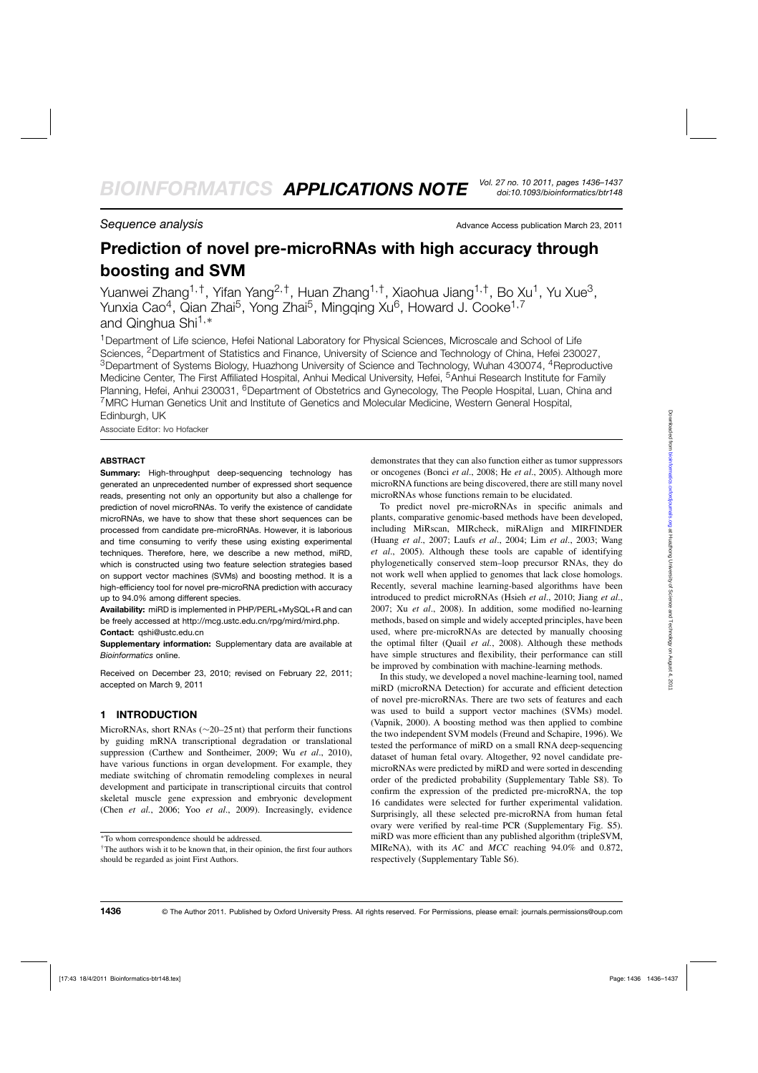**Sequence analysis Sequence analysis** Advance Access publication March 23, 2011

# **Prediction of novel pre-microRNAs with high accuracy through boosting and SVM**

Yuanwei Zhang<sup>1,†</sup>, Yifan Yang<sup>2,†</sup>, Huan Zhang<sup>1,†</sup>, Xiaohua Jiang<sup>1,†</sup>, Bo Xu<sup>1</sup>, Yu Xue<sup>3</sup>, Yunxia Cao<sup>4</sup>, Qian Zhai<sup>5</sup>, Yong Zhai<sup>5</sup>, Mingqing Xu<sup>6</sup>, Howard J. Cooke<sup>1,7</sup> and Qinghua Shi<sup>1,∗</sup>

<sup>1</sup> Department of Life science, Hefei National Laboratory for Physical Sciences, Microscale and School of Life Sciences, <sup>2</sup>Department of Statistics and Finance, University of Science and Technology of China, Hefei 230027, <sup>3</sup>Department of Systems Biology, Huazhong University of Science and Technology, Wuhan 430074, <sup>4</sup>Reproductive Medicine Center, The First Affiliated Hospital, Anhui Medical University, Hefei, <sup>5</sup>Anhui Research Institute for Family Planning, Hefei, Anhui 230031, <sup>6</sup>Department of Obstetrics and Gynecology, The People Hospital, Luan, China and 7MRC Human Genetics Unit and Institute of Genetics and Molecular Medicine, Western General Hospital, Edinburgh, UK

Associate Editor: Ivo Hofacker

#### **ABSTRACT**

**Summary:** High-throughput deep-sequencing technology has generated an unprecedented number of expressed short sequence reads, presenting not only an opportunity but also a challenge for prediction of novel microRNAs. To verify the existence of candidate microRNAs, we have to show that these short sequences can be processed from candidate pre-microRNAs. However, it is laborious and time consuming to verify these using existing experimental techniques. Therefore, here, we describe a new method, miRD, which is constructed using two feature selection strategies based on support vector machines (SVMs) and boosting method. It is a high-efficiency tool for novel pre-microRNA prediction with accuracy up to 94.0% among different species.

**Availability:** miRD is implemented in PHP/PERL+MySQL+R and can be freely accessed at http://mcg.ustc.edu.cn/rpg/mird/mird.php. **Contact:** qshi@ustc.edu.cn

**Supplementary information:** Supplementary data are available at *Bioinformatics* online.

Received on December 23, 2010; revised on February 22, 2011; accepted on March 9, 2011

#### **1 INTRODUCTION**

MicroRNAs, short RNAs (∼20–25 nt) that perform their functions by guiding mRNA transcriptional degradation or translational suppression (Carthew and Sontheimer, 2009; Wu *et al*., 2010), have various functions in organ development. For example, they mediate switching of chromatin remodeling complexes in neural development and participate in transcriptional circuits that control skeletal muscle gene expression and embryonic development (Chen *et al.*, 2006; Yoo *et al*., 2009). Increasingly, evidence demonstrates that they can also function either as tumor suppressors or oncogenes (Bonci *et al*., 2008; He *et al*., 2005). Although more microRNA functions are being discovered, there are still many novel microRNAs whose functions remain to be elucidated.

To predict novel pre-microRNAs in specific animals and plants, comparative genomic-based methods have been developed, including MiRscan, MIRcheck, miRAlign and MIRFINDER (Huang *et al*., 2007; Laufs *et al*., 2004; Lim *et al*., 2003; Wang *et al*., 2005). Although these tools are capable of identifying phylogenetically conserved stem–loop precursor RNAs, they do not work well when applied to genomes that lack close homologs. Recently, several machine learning-based algorithms have been introduced to predict microRNAs (Hsieh *et al*., 2010; Jiang *et al*., 2007; Xu *et al*., 2008). In addition, some modified no-learning methods, based on simple and widely accepted principles, have been used, where pre-microRNAs are detected by manually choosing the optimal filter (Quail *et al.*, 2008). Although these methods have simple structures and flexibility, their performance can still be improved by combination with machine-learning methods.

In this study, we developed a novel machine-learning tool, named miRD (microRNA Detection) for accurate and efficient detection of novel pre-microRNAs. There are two sets of features and each was used to build a support vector machines (SVMs) model. (Vapnik, 2000). A boosting method was then applied to combine the two independent SVM models (Freund and Schapire, 1996). We tested the performance of miRD on a small RNA deep-sequencing dataset of human fetal ovary. Altogether, 92 novel candidate premicroRNAs were predicted by miRD and were sorted in descending order of the predicted probability (Supplementary Table S8). To confirm the expression of the predicted pre-microRNA, the top 16 candidates were selected for further experimental validation. Surprisingly, all these selected pre-microRNA from human fetal ovary were verified by real-time PCR (Supplementary Fig. S5). miRD was more efficient than any published algorithm (tripleSVM, MIReNA), with its *AC* and *MCC* reaching 94.0% and 0.872, respectively (Supplementary Table S6).

<sup>∗</sup>To whom correspondence should be addressed.

<sup>†</sup>The authors wish it to be known that, in their opinion, the first four authors should be regarded as joint First Authors.